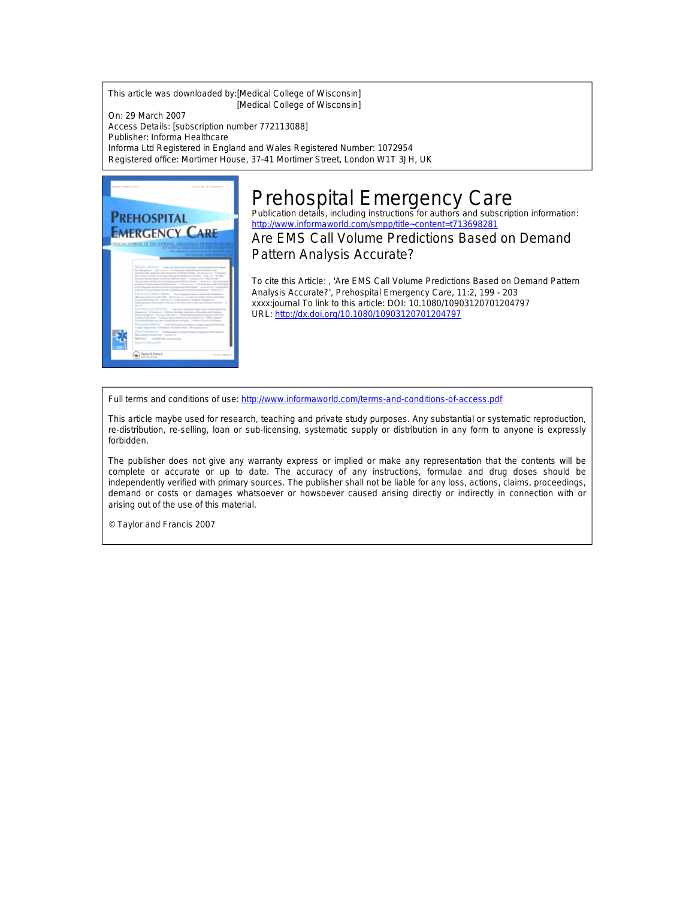This article was downloaded by:[Medical College of Wisconsin] [Medical College of Wisconsin]

On: 29 March 2007 Access Details: [subscription number 772113088] Publisher: Informa Healthcare Informa Ltd Registered in England and Wales Registered Number: 1072954 Registered office: Mortimer House, 37-41 Mortimer Street, London W1T 3JH, UK



# Prehospital Emergency Care<br>Publication details, including instructions for authors and subscription information:

<http://www.informaworld.com/smpp/title~content=t713698281>

Are EMS Call Volume Predictions Based on Demand Pattern Analysis Accurate?

To cite this Article: , 'Are EMS Call Volume Predictions Based on Demand Pattern Analysis Accurate?', Prehospital Emergency Care, 11:2, 199 - 203 xxxx:journal To link to this article: DOI: 10.1080/10903120701204797 URL: <http://dx.doi.org/10.1080/10903120701204797>

Full terms and conditions of use: <http://www.informaworld.com/terms-and-conditions-of-access.pdf>

This article maybe used for research, teaching and private study purposes. Any substantial or systematic reproduction, re-distribution, re-selling, loan or sub-licensing, systematic supply or distribution in any form to anyone is expressly forbidden.

The publisher does not give any warranty express or implied or make any representation that the contents will be complete or accurate or up to date. The accuracy of any instructions, formulae and drug doses should be independently verified with primary sources. The publisher shall not be liable for any loss, actions, claims, proceedings, demand or costs or damages whatsoever or howsoever caused arising directly or indirectly in connection with or arising out of the use of this material.

© Taylor and Francis 2007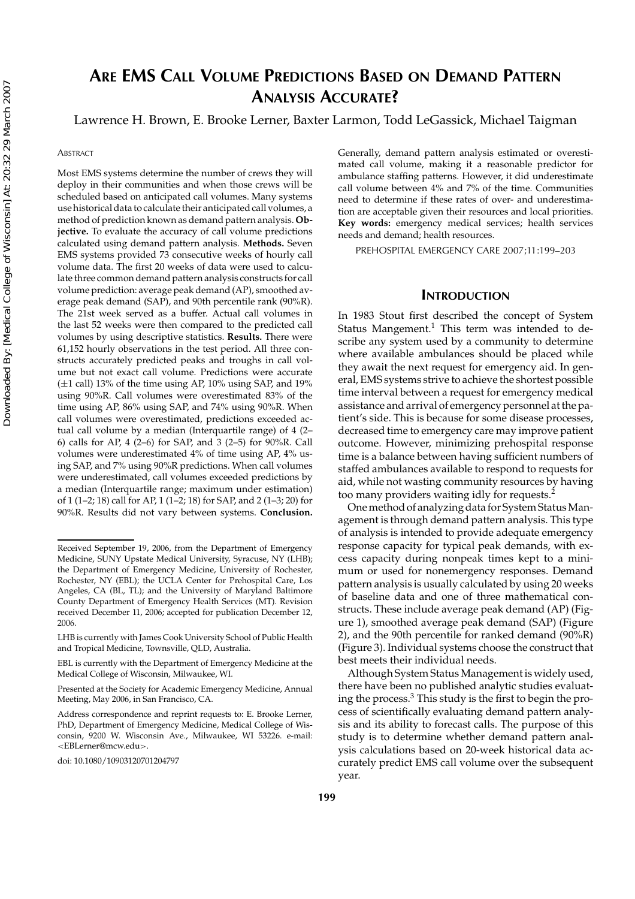# **ARE EMS CALL VOLUME PREDICTIONS BASED ON DEMAND PATTERN ANALYSIS ACCURATE?**

Lawrence H. Brown, E. Brooke Lerner, Baxter Larmon, Todd LeGassick, Michael Taigman

**ABSTRACT** 

Most EMS systems determine the number of crews they will deploy in their communities and when those crews will be scheduled based on anticipated call volumes. Many systems use historical data to calculate their anticipated call volumes, a method of prediction known as demand pattern analysis. **Objective.** To evaluate the accuracy of call volume predictions calculated using demand pattern analysis. **Methods.** Seven EMS systems provided 73 consecutive weeks of hourly call volume data. The first 20 weeks of data were used to calculate three common demand pattern analysis constructs for call volume prediction: average peak demand (AP), smoothed average peak demand (SAP), and 90th percentile rank (90%R). The 21st week served as a buffer. Actual call volumes in the last 52 weeks were then compared to the predicted call volumes by using descriptive statistics. **Results.** There were 61,152 hourly observations in the test period. All three constructs accurately predicted peaks and troughs in call volume but not exact call volume. Predictions were accurate (±1 call) 13% of the time using AP, 10% using SAP, and 19% using 90%R. Call volumes were overestimated 83% of the time using AP, 86% using SAP, and 74% using 90%R. When call volumes were overestimated, predictions exceeded actual call volume by a median (Interquartile range) of 4 (2– 6) calls for AP, 4 (2–6) for SAP, and 3 (2–5) for 90%R. Call volumes were underestimated 4% of time using AP, 4% using SAP, and 7% using 90%R predictions. When call volumes were underestimated, call volumes exceeded predictions by a median (Interquartile range; maximum under estimation) of 1 (1–2; 18) call for AP, 1 (1–2; 18) for SAP, and 2 (1–3; 20) for 90%R. Results did not vary between systems. **Conclusion.**

Generally, demand pattern analysis estimated or overestimated call volume, making it a reasonable predictor for ambulance staffing patterns. However, it did underestimate call volume between 4% and 7% of the time. Communities need to determine if these rates of over- and underestimation are acceptable given their resources and local priorities. **Key words:** emergency medical services; health services needs and demand; health resources.

PREHOSPITAL EMERGENCY CARE 2007;11:199–203

#### **INTRODUCTION**

In 1983 Stout first described the concept of System Status Mangement. $1$  This term was intended to describe any system used by a community to determine where available ambulances should be placed while they await the next request for emergency aid. In general, EMS systems strive to achieve the shortest possible time interval between a request for emergency medical assistance and arrival of emergency personnel at the patient's side. This is because for some disease processes, decreased time to emergency care may improve patient outcome. However, minimizing prehospital response time is a balance between having sufficient numbers of staffed ambulances available to respond to requests for aid, while not wasting community resources by having too many providers waiting idly for requests.<sup>2</sup>

One method of analyzing data for System Status Management is through demand pattern analysis. This type of analysis is intended to provide adequate emergency response capacity for typical peak demands, with excess capacity during nonpeak times kept to a minimum or used for nonemergency responses. Demand pattern analysis is usually calculated by using 20 weeks of baseline data and one of three mathematical constructs. These include average peak demand (AP) (Figure 1), smoothed average peak demand (SAP) (Figure 2), and the 90th percentile for ranked demand (90%R) (Figure 3). Individual systems choose the construct that best meets their individual needs.

Although System Status Management is widely used, there have been no published analytic studies evaluating the process.<sup>3</sup> This study is the first to begin the process of scientifically evaluating demand pattern analysis and its ability to forecast calls. The purpose of this study is to determine whether demand pattern analysis calculations based on 20-week historical data accurately predict EMS call volume over the subsequent year.

Received September 19, 2006, from the Department of Emergency Medicine, SUNY Upstate Medical University, Syracuse, NY (LHB); the Department of Emergency Medicine, University of Rochester, Rochester, NY (EBL); the UCLA Center for Prehospital Care, Los Angeles, CA (BL, TL); and the University of Maryland Baltimore County Department of Emergency Health Services (MT). Revision received December 11, 2006; accepted for publication December 12, 2006.

LHB is currently with James Cook University School of Public Health and Tropical Medicine, Townsville, QLD, Australia.

EBL is currently with the Department of Emergency Medicine at the Medical College of Wisconsin, Milwaukee, WI.

Presented at the Society for Academic Emergency Medicine, Annual Meeting, May 2006, in San Francisco, CA.

Address correspondence and reprint requests to: E. Brooke Lerner, PhD, Department of Emergency Medicine, Medical College of Wisconsin, 9200 W. Wisconsin Ave., Milwaukee, WI 53226. e-mail: <EBLerner@mcw.edu>.

doi: 10.1080/10903120701204797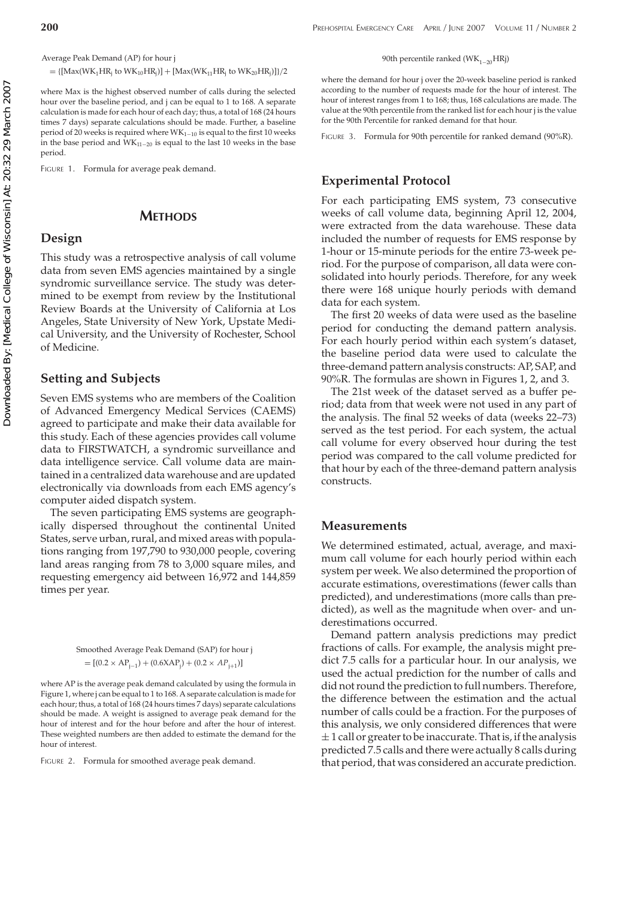$= \{ [Max(WK_1HR_i \text{ to } WK_{10}HR_i)] + [Max(WK_{11}HR_i \text{ to } WK_{20}HR_i)] \} / 2$ 

where Max is the highest observed number of calls during the selected hour over the baseline period, and j can be equal to 1 to 168. A separate calculation is made for each hour of each day; thus, a total of 168 (24 hours times 7 days) separate calculations should be made. Further, a baseline period of 20 weeks is required where WK<sub>1−10</sub> is equal to the first 10 weeks in the base period and  $WK<sub>11–20</sub>$  is equal to the last 10 weeks in the base period.

FIGURE 1. Formula for average peak demand.

# **METHODS**

# **Design**

This study was a retrospective analysis of call volume data from seven EMS agencies maintained by a single syndromic surveillance service. The study was determined to be exempt from review by the Institutional Review Boards at the University of California at Los Angeles, State University of New York, Upstate Medical University, and the University of Rochester, School of Medicine.

# **Setting and Subjects**

Seven EMS systems who are members of the Coalition of Advanced Emergency Medical Services (CAEMS) agreed to participate and make their data available for this study. Each of these agencies provides call volume data to FIRSTWATCH, a syndromic surveillance and data intelligence service. Call volume data are maintained in a centralized data warehouse and are updated electronically via downloads from each EMS agency's computer aided dispatch system.

The seven participating EMS systems are geographically dispersed throughout the continental United States, serve urban, rural, and mixed areas with populations ranging from 197,790 to 930,000 people, covering land areas ranging from 78 to 3,000 square miles, and requesting emergency aid between 16,972 and 144,859 times per year.

# Smoothed Average Peak Demand (SAP) for hour j

$$
= [(0.2 \times AP_{j-1}) + (0.6XAP_j) + (0.2 \times AP_{j+1})]
$$

where AP is the average peak demand calculated by using the formula in Figure 1, where j can be equal to 1 to 168. A separate calculation is made for each hour; thus, a total of 168 (24 hours times 7 days) separate calculations should be made. A weight is assigned to average peak demand for the hour of interest and for the hour before and after the hour of interest. These weighted numbers are then added to estimate the demand for the hour of interest.

FIGURE 2. Formula for smoothed average peak demand.

90th percentile ranked (WK<sub>1−20</sub>HRj)

where the demand for hour j over the 20-week baseline period is ranked according to the number of requests made for the hour of interest. The hour of interest ranges from 1 to 168; thus, 168 calculations are made. The value at the 90th percentile from the ranked list for each hour j is the value for the 90th Percentile for ranked demand for that hour.

FIGURE 3. Formula for 90th percentile for ranked demand (90%R).

# **Experimental Protocol**

For each participating EMS system, 73 consecutive weeks of call volume data, beginning April 12, 2004, were extracted from the data warehouse. These data included the number of requests for EMS response by 1-hour or 15-minute periods for the entire 73-week period. For the purpose of comparison, all data were consolidated into hourly periods. Therefore, for any week there were 168 unique hourly periods with demand data for each system.

The first 20 weeks of data were used as the baseline period for conducting the demand pattern analysis. For each hourly period within each system's dataset, the baseline period data were used to calculate the three-demand pattern analysis constructs: AP, SAP, and 90%R. The formulas are shown in Figures 1, 2, and 3.

The 21st week of the dataset served as a buffer period; data from that week were not used in any part of the analysis. The final 52 weeks of data (weeks 22–73) served as the test period. For each system, the actual call volume for every observed hour during the test period was compared to the call volume predicted for that hour by each of the three-demand pattern analysis constructs.

#### **Measurements**

We determined estimated, actual, average, and maximum call volume for each hourly period within each system per week. We also determined the proportion of accurate estimations, overestimations (fewer calls than predicted), and underestimations (more calls than predicted), as well as the magnitude when over- and underestimations occurred.

Demand pattern analysis predictions may predict fractions of calls. For example, the analysis might predict 7.5 calls for a particular hour. In our analysis, we used the actual prediction for the number of calls and did not round the prediction to full numbers. Therefore, the difference between the estimation and the actual number of calls could be a fraction. For the purposes of this analysis, we only considered differences that were  $\pm$  1 call or greater to be inaccurate. That is, if the analysis predicted 7.5 calls and there were actually 8 calls during that period, that was considered an accurate prediction.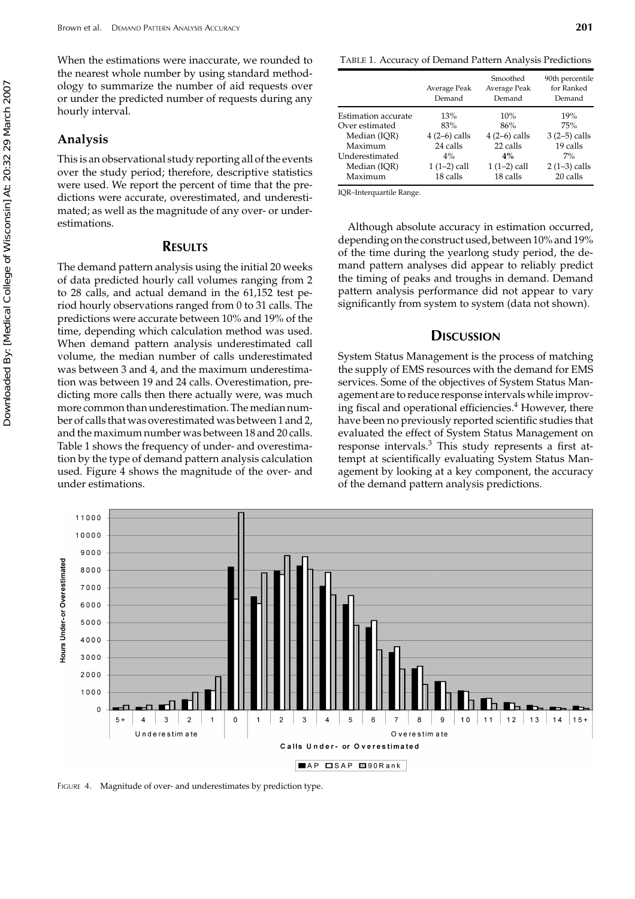When the estimations were inaccurate, we rounded to the nearest whole number by using standard methodology to summarize the number of aid requests over or under the predicted number of requests during any hourly interval.

#### **Analysis**

This is an observational study reporting all of the events over the study period; therefore, descriptive statistics were used. We report the percent of time that the predictions were accurate, overestimated, and underestimated; as well as the magnitude of any over- or underestimations.

#### **RESULTS**

The demand pattern analysis using the initial 20 weeks of data predicted hourly call volumes ranging from 2 to 28 calls, and actual demand in the 61,152 test period hourly observations ranged from 0 to 31 calls. The predictions were accurate between 10% and 19% of the time, depending which calculation method was used. When demand pattern analysis underestimated call volume, the median number of calls underestimated was between 3 and 4, and the maximum underestimation was between 19 and 24 calls. Overestimation, predicting more calls then there actually were, was much more common than underestimation. The median number of calls that was overestimated was between 1 and 2, and the maximum number was between 18 and 20 calls. Table 1 shows the frequency of under- and overestimation by the type of demand pattern analysis calculation used. Figure 4 shows the magnitude of the over- and under estimations.

TABLE 1. Accuracy of Demand Pattern Analysis Predictions

| for Ranked<br>Average Peak<br>Average Peak<br>Demand<br>Demand                                                                                                                                                                                                                    | Demand                                                                          |
|-----------------------------------------------------------------------------------------------------------------------------------------------------------------------------------------------------------------------------------------------------------------------------------|---------------------------------------------------------------------------------|
| Estimation accurate<br>10%<br>13%<br>Over estimated<br>86%<br>83%<br>$4(2-6)$ calls<br>$4(2-6)$ calls<br>Median (IOR)<br>24 calls<br>22 calls<br>Maximum<br>Underestimated<br>$4\%$<br>$4\%$<br>$1(1-2)$ call<br>Median (IOR)<br>$1(1-2)$ call<br>18 calls<br>18 calls<br>Maximum | 19%<br>75%<br>$3(2-5)$ calls<br>19 calls<br>$7\%$<br>$2(1-3)$ calls<br>20 calls |

IQR–Interquartile Range.

Although absolute accuracy in estimation occurred, depending on the construct used, between 10% and 19% of the time during the yearlong study period, the demand pattern analyses did appear to reliably predict the timing of peaks and troughs in demand. Demand pattern analysis performance did not appear to vary significantly from system to system (data not shown).

#### **DISCUSSION**

System Status Management is the process of matching the supply of EMS resources with the demand for EMS services. Some of the objectives of System Status Management are to reduce response intervals while improving fiscal and operational efficiencies.<sup>4</sup> However, there have been no previously reported scientific studies that evaluated the effect of System Status Management on response intervals. $3$  This study represents a first attempt at scientifically evaluating System Status Management by looking at a key component, the accuracy of the demand pattern analysis predictions.



FIGURE 4. Magnitude of over- and underestimates by prediction type.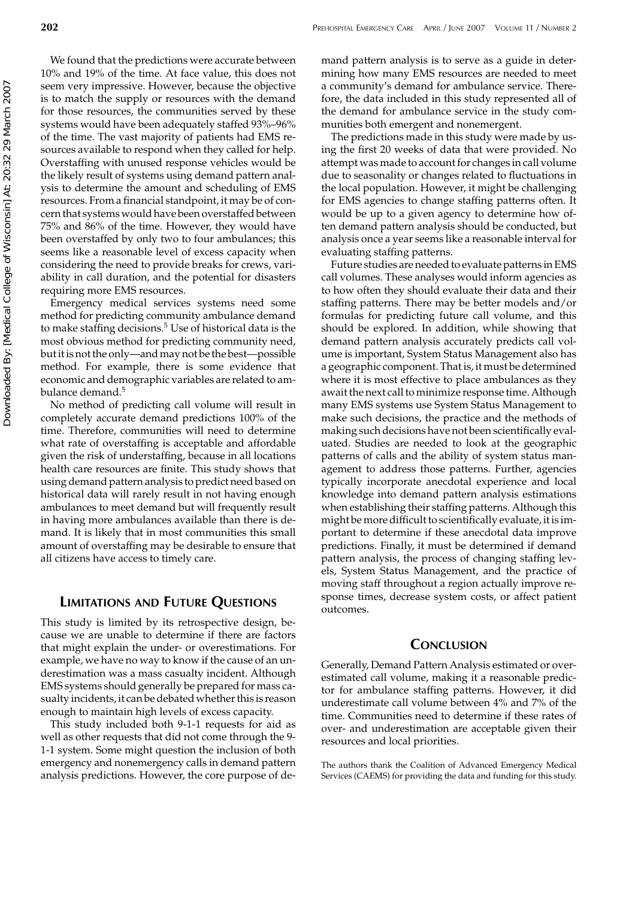We found that the predictions were accurate between 10% and 19% of the time. At face value, this does not seem very impressive. However, because the objective is to match the supply or resources with the demand for those resources, the communities served by these systems would have been adequately staffed 93%–96% of the time. The vast majority of patients had EMS resources available to respond when they called for help. Overstaffing with unused response vehicles would be the likely result of systems using demand pattern analysis to determine the amount and scheduling of EMS resources. From a financial standpoint, it may be of concern that systems would have been overstaffed between 75% and 86% of the time. However, they would have been overstaffed by only two to four ambulances; this seems like a reasonable level of excess capacity when considering the need to provide breaks for crews, variability in call duration, and the potential for disasters requiring more EMS resources.

Emergency medical services systems need some method for predicting community ambulance demand to make staffing decisions.<sup>5</sup> Use of historical data is the most obvious method for predicting community need, but it is not the only—and may not be the best—possible method. For example, there is some evidence that economic and demographic variables are related to ambulance demand.<sup>5</sup>

No method of predicting call volume will result in completely accurate demand predictions 100% of the time. Therefore, communities will need to determine what rate of overstaffing is acceptable and affordable given the risk of understaffing, because in all locations health care resources are finite. This study shows that using demand pattern analysis to predict need based on historical data will rarely result in not having enough ambulances to meet demand but will frequently result in having more ambulances available than there is demand. It is likely that in most communities this small amount of overstaffing may be desirable to ensure that all citizens have access to timely care.

# **LIMITATIONS AND FUTURE QUESTIONS**

This study is limited by its retrospective design, because we are unable to determine if there are factors that might explain the under- or overestimations. For example, we have no way to know if the cause of an underestimation was a mass casualty incident. Although EMS systems should generally be prepared for mass casualty incidents, it can be debated whether this is reason enough to maintain high levels of excess capacity.

This study included both 9-1-1 requests for aid as well as other requests that did not come through the 9- 1-1 system. Some might question the inclusion of both emergency and nonemergency calls in demand pattern analysis predictions. However, the core purpose of demand pattern analysis is to serve as a guide in determining how many EMS resources are needed to meet a community's demand for ambulance service. Therefore, the data included in this study represented all of the demand for ambulance service in the study communities both emergent and nonemergent.

The predictions made in this study were made by using the first 20 weeks of data that were provided. No attempt was made to account for changes in call volume due to seasonality or changes related to fluctuations in the local population. However, it might be challenging for EMS agencies to change staffing patterns often. It would be up to a given agency to determine how often demand pattern analysis should be conducted, but analysis once a year seems like a reasonable interval for evaluating staffing patterns.

Future studies are needed to evaluate patterns in EMS call volumes. These analyses would inform agencies as to how often they should evaluate their data and their staffing patterns. There may be better models and/or formulas for predicting future call volume, and this should be explored. In addition, while showing that demand pattern analysis accurately predicts call volume is important, System Status Management also has a geographic component. That is, it must be determined where it is most effective to place ambulances as they await the next call to minimize response time. Although many EMS systems use System Status Management to make such decisions, the practice and the methods of making such decisions have not been scientifically evaluated. Studies are needed to look at the geographic patterns of calls and the ability of system status management to address those patterns. Further, agencies typically incorporate anecdotal experience and local knowledge into demand pattern analysis estimations when establishing their staffing patterns. Although this might be more difficult to scientifically evaluate, it is important to determine if these anecdotal data improve predictions. Finally, it must be determined if demand pattern analysis, the process of changing staffing levels, System Status Management, and the practice of moving staff throughout a region actually improve response times, decrease system costs, or affect patient outcomes.

#### **CONCLUSION**

Generally, Demand Pattern Analysis estimated or overestimated call volume, making it a reasonable predictor for ambulance staffing patterns. However, it did underestimate call volume between 4% and 7% of the time. Communities need to determine if these rates of over- and underestimation are acceptable given their resources and local priorities.

The authors thank the Coalition of Advanced Emergency Medical Services (CAEMS) for providing the data and funding for this study.